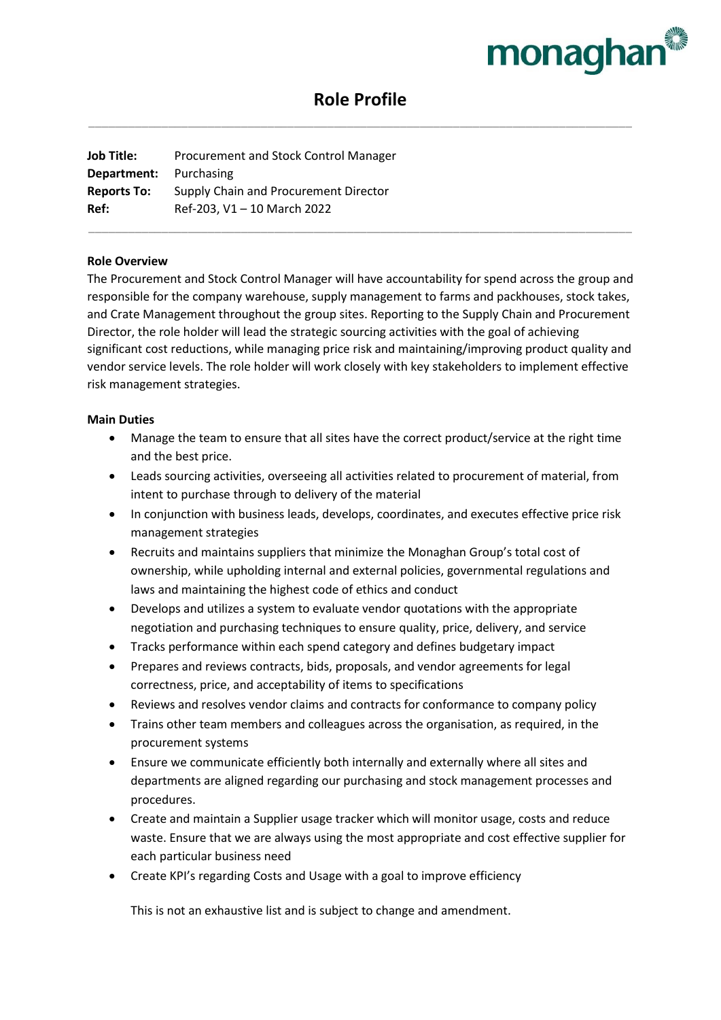

# **Role Profile** \_\_\_\_\_\_\_\_\_\_\_\_\_\_\_\_\_\_\_\_\_\_\_\_\_\_\_\_\_\_\_\_\_\_\_\_\_\_\_\_\_\_\_\_\_\_\_\_\_\_\_\_\_\_\_\_\_\_\_\_\_\_\_\_\_\_\_\_\_\_\_\_\_\_\_\_\_\_\_\_\_\_

**Job Title:** Procurement and Stock Control Manager **Department:** Purchasing **Reports To:** Supply Chain and Procurement Director **Ref:** Ref-203, V1 – 10 March 2022 \_\_\_\_\_\_\_\_\_\_\_\_\_\_\_\_\_\_\_\_\_\_\_\_\_\_\_\_\_\_\_\_\_\_\_\_\_\_\_\_\_\_\_\_\_\_\_\_\_\_\_\_\_\_\_\_\_\_\_\_\_\_\_\_\_\_\_\_\_\_\_\_\_\_\_\_\_\_\_\_\_\_

#### **Role Overview**

The Procurement and Stock Control Manager will have accountability for spend across the group and responsible for the company warehouse, supply management to farms and packhouses, stock takes, and Crate Management throughout the group sites. Reporting to the Supply Chain and Procurement Director, the role holder will lead the strategic sourcing activities with the goal of achieving significant cost reductions, while managing price risk and maintaining/improving product quality and vendor service levels. The role holder will work closely with key stakeholders to implement effective risk management strategies.

#### **Main Duties**

- Manage the team to ensure that all sites have the correct product/service at the right time and the best price.
- Leads sourcing activities, overseeing all activities related to procurement of material, from intent to purchase through to delivery of the material
- In conjunction with business leads, develops, coordinates, and executes effective price risk management strategies
- Recruits and maintains suppliers that minimize the Monaghan Group's total cost of ownership, while upholding internal and external policies, governmental regulations and laws and maintaining the highest code of ethics and conduct
- Develops and utilizes a system to evaluate vendor quotations with the appropriate negotiation and purchasing techniques to ensure quality, price, delivery, and service
- Tracks performance within each spend category and defines budgetary impact
- Prepares and reviews contracts, bids, proposals, and vendor agreements for legal correctness, price, and acceptability of items to specifications
- Reviews and resolves vendor claims and contracts for conformance to company policy
- Trains other team members and colleagues across the organisation, as required, in the procurement systems
- Ensure we communicate efficiently both internally and externally where all sites and departments are aligned regarding our purchasing and stock management processes and procedures.
- Create and maintain a Supplier usage tracker which will monitor usage, costs and reduce waste. Ensure that we are always using the most appropriate and cost effective supplier for each particular business need
- Create KPI's regarding Costs and Usage with a goal to improve efficiency

This is not an exhaustive list and is subject to change and amendment.